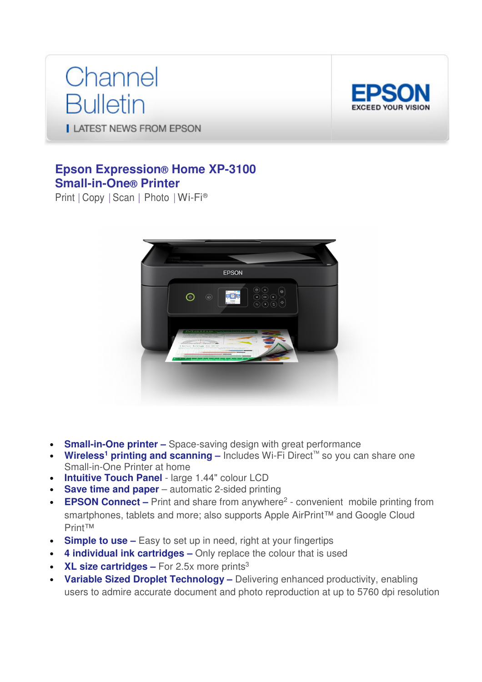# Channel **Bulletin**



**LATEST NEWS FROM EPSON** 

# **Epson Expression® Home XP-3100 Small-in-One® Printer**

Print | Copy | Scan | Photo | Wi-Fi®



- **Small-in-One printer** Space-saving design with great performance
- Wireless<sup>1</sup> printing and scanning Includes Wi-Fi Direct<sup>™</sup> so you can share one Small-in-One Printer at home
- **Intuitive Touch Panel**  large 1.44" colour LCD
- **Save time and paper** automatic 2-sided printing
- **EPSON Connect** Print and share from anywhere<sup>2</sup> convenient mobile printing from smartphones, tablets and more; also supports Apple AirPrint™ and Google Cloud Print™
- **Simple to use** Easy to set up in need, right at your fingertips
- **4 individual ink cartridges** Only replace the colour that is used
- **XL size cartridges** For 2.5x more prints<sup>3</sup>
- **Variable Sized Droplet Technology –** Delivering enhanced productivity, enabling users to admire accurate document and photo reproduction at up to 5760 dpi resolution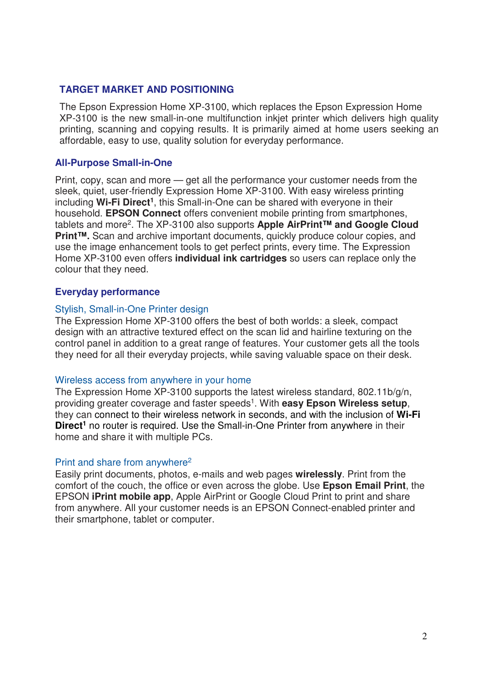#### **TARGET MARKET AND POSITIONING**

The Epson Expression Home XP-3100, which replaces the Epson Expression Home XP-3100 is the new small-in-one multifunction inkjet printer which delivers high quality printing, scanning and copying results. It is primarily aimed at home users seeking an affordable, easy to use, quality solution for everyday performance.

### **All-Purpose Small-in-One**

Print, copy, scan and more — get all the performance your customer needs from the sleek, quiet, user-friendly Expression Home XP-3100. With easy wireless printing including **Wi-Fi Direct<sup>1</sup>** , this Small-in-One can be shared with everyone in their household. **EPSON Connect** offers convenient mobile printing from smartphones, tablets and more<sup>2</sup>. The XP-3100 also supports Apple AirPrint™ and Google Cloud **Print™.** Scan and archive important documents, quickly produce colour copies, and use the image enhancement tools to get perfect prints, every time. The Expression Home XP-3100 even offers **individual ink cartridges** so users can replace only the colour that they need.

### **Everyday performance**

#### Stylish, Small-in-One Printer design

The Expression Home XP-3100 offers the best of both worlds: a sleek, compact design with an attractive textured effect on the scan lid and hairline texturing on the control panel in addition to a great range of features. Your customer gets all the tools they need for all their everyday projects, while saving valuable space on their desk.

#### Wireless access from anywhere in your home

The Expression Home XP-3100 supports the latest wireless standard, 802.11b/g/n, providing greater coverage and faster speeds<sup>1</sup>. With **easy Epson Wireless setup**, they can connect to their wireless network in seconds, and with the inclusion of **Wi-Fi Direct<sup>1</sup>** no router is required. Use the Small-in-One Printer from anywhere in their home and share it with multiple PCs.

#### Print and share from anywhere<sup>2</sup>

Easily print documents, photos, e-mails and web pages **wirelessly**. Print from the comfort of the couch, the office or even across the globe. Use **Epson Email Print**, the EPSON **iPrint mobile app**, Apple AirPrint or Google Cloud Print to print and share from anywhere. All your customer needs is an EPSON Connect-enabled printer and their smartphone, tablet or computer.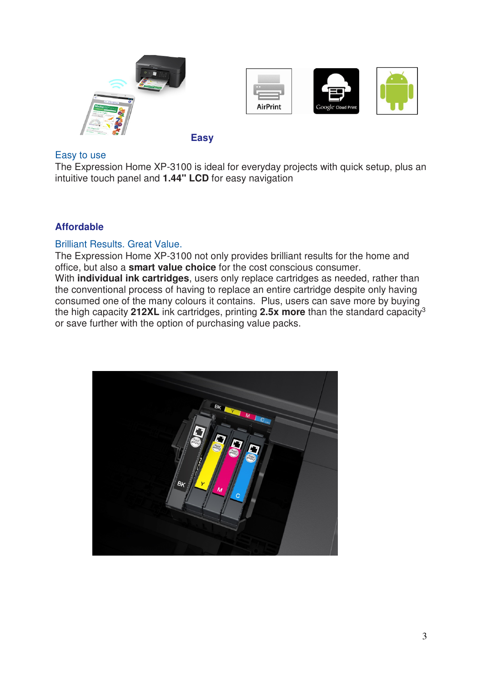







# **Easy**

### Easy to use

The Expression Home XP-3100 is ideal for everyday projects with quick setup, plus an intuitive touch panel and **1.44" LCD** for easy navigation

# **Affordable**

# Brilliant Results. Great Value.

The Expression Home XP-3100 not only provides brilliant results for the home and office, but also a **smart value choice** for the cost conscious consumer. With **individual ink cartridges**, users only replace cartridges as needed, rather than the conventional process of having to replace an entire cartridge despite only having consumed one of the many colours it contains. Plus, users can save more by buying the high capacity **212XL** ink cartridges, printing **2.5x more** than the standard capacity<sup>3</sup> or save further with the option of purchasing value packs.

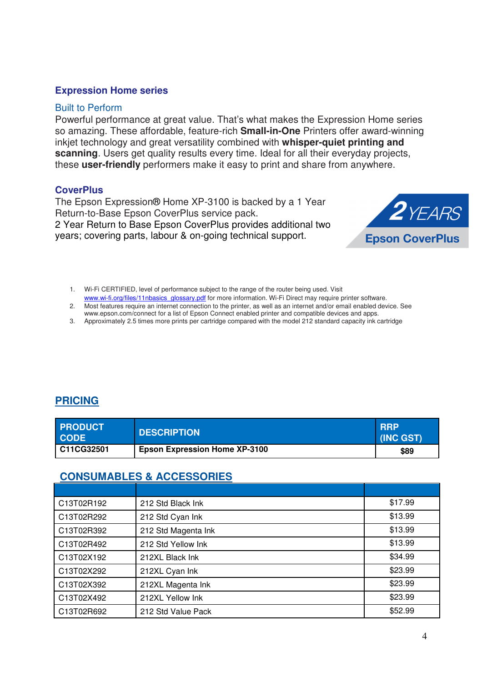#### **Expression Home series**

#### Built to Perform

Powerful performance at great value. That's what makes the Expression Home series so amazing. These affordable, feature-rich **Small-in-One** Printers offer award-winning inkjet technology and great versatility combined with **whisper-quiet printing and scanning**. Users get quality results every time. Ideal for all their everyday projects, these **user-friendly** performers make it easy to print and share from anywhere.

#### **CoverPlus**

The Epson Expression® Home XP-3100 is backed by a 1 Year Return-to-Base Epson CoverPlus service pack. 2 Year Return to Base Epson CoverPlus provides additional two years; covering parts, labour & on-going technical support.



- 1. Wi-Fi CERTIFIED, level of performance subject to the range of the router being used. Visit www.wi-fi.org/files/11nbasics\_glossary.pdf for more information. Wi-Fi Direct may require printer software.
- 2. Most features require an internet connection to the printer, as well as an internet and/or email enabled device. See
- www.epson.com/connect for a list of Epson Connect enabled printer and compatible devices and apps.
- 3. Approximately 2.5 times more prints per cartridge compared with the model 212 standard capacity ink cartridge

# **PRICING**

| <b>PRODUCT</b><br><b>CODE</b> | <b>DESCRIPTION</b>                   | <b>RRP</b><br>(INC GST) |
|-------------------------------|--------------------------------------|-------------------------|
| C11CG32501                    | <b>Epson Expression Home XP-3100</b> | \$89                    |

# **CONSUMABLES & ACCESSORIES**

| C13T02R192 | 212 Std Black Ink   | \$17.99 |
|------------|---------------------|---------|
| C13T02R292 | 212 Std Cyan Ink    | \$13.99 |
| C13T02R392 | 212 Std Magenta Ink | \$13.99 |
| C13T02R492 | 212 Std Yellow Ink  | \$13.99 |
| C13T02X192 | 212XL Black Ink     | \$34.99 |
| C13T02X292 | 212XL Cyan Ink      | \$23.99 |
| C13T02X392 | 212XL Magenta Ink   | \$23.99 |
| C13T02X492 | 212XL Yellow Ink    | \$23.99 |
| C13T02R692 | 212 Std Value Pack  | \$52.99 |